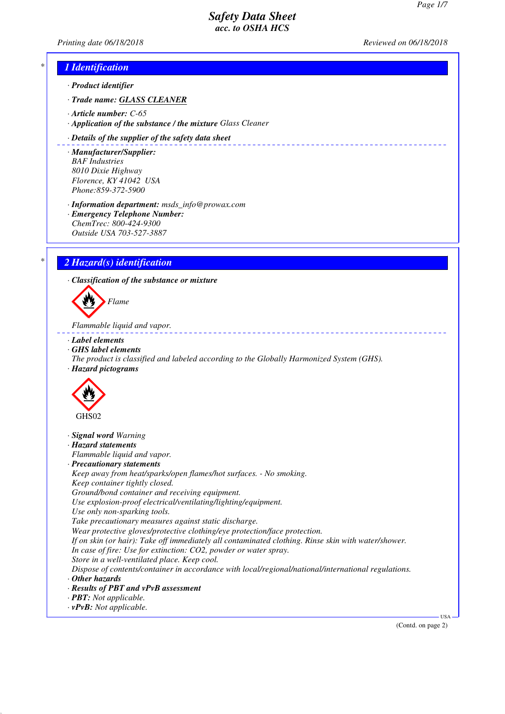\_\_\_\_\_\_\_\_\_\_\_\_\_\_\_\_\_\_\_\_\_\_\_\_\_\_\_

*Printing date 06/18/2018 Reviewed on 06/18/2018*

# *\* 1 Identification*

*· Product identifier*

*· Trade name: GLASS CLEANER*

- *· Article number: C-65*
- *· Application of the substance / the mixture Glass Cleaner*

### *· Details of the supplier of the safety data sheet*

*· Manufacturer/Supplier: BAF Industries 8010 Dixie Highway Florence, KY 41042 USA Phone:859-372-5900*

*· Information department: msds\_info@prowax.com · Emergency Telephone Number:*

*ChemTrec: 800-424-9300 Outside USA 703-527-3887*

# *\* 2 Hazard(s) identification*

*· Classification of the substance or mixture*

*Flame*

*Flammable liquid and vapor.* 

*· Label elements*

- *· GHS label elements*
- *The product is classified and labeled according to the Globally Harmonized System (GHS). · Hazard pictograms*



- *· Signal word Warning*
- *· Hazard statements*

*Flammable liquid and vapor.*

*· Precautionary statements*

*Keep away from heat/sparks/open flames/hot surfaces. - No smoking. Keep container tightly closed. Ground/bond container and receiving equipment.*

*Use explosion-proof electrical/ventilating/lighting/equipment.*

*Use only non-sparking tools.*

*Take precautionary measures against static discharge.*

*Wear protective gloves/protective clothing/eye protection/face protection.*

*If on skin (or hair): Take off immediately all contaminated clothing. Rinse skin with water/shower. In case of fire: Use for extinction: CO2, powder or water spray.*

*Store in a well-ventilated place. Keep cool.*

*Dispose of contents/container in accordance with local/regional/national/international regulations.*

- *· Other hazards*
- *· Results of PBT and vPvB assessment*
- *· PBT: Not applicable.*
- *· vPvB: Not applicable.*

(Contd. on page 2)

USA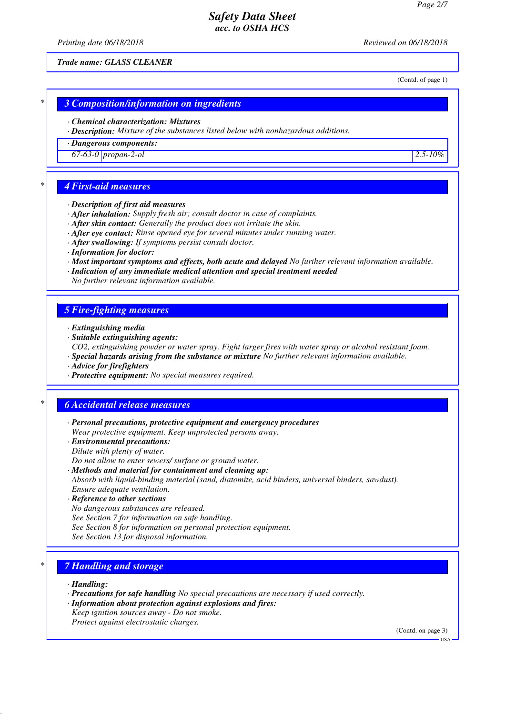*Printing date 06/18/2018 Reviewed on 06/18/2018*

*Trade name: GLASS CLEANER*

(Contd. of page 1)

### *\* 3 Composition/information on ingredients*

### *· Chemical characterization: Mixtures*

*· Description: Mixture of the substances listed below with nonhazardous additions.*

*· Dangerous components:*

*67-63-0 propan-2-ol 2.5-10%*

## *\* 4 First-aid measures*

#### *· Description of first aid measures*

- *· After inhalation: Supply fresh air; consult doctor in case of complaints.*
- *· After skin contact: Generally the product does not irritate the skin.*
- *· After eye contact: Rinse opened eye for several minutes under running water.*
- *· After swallowing: If symptoms persist consult doctor.*
- *· Information for doctor:*
- *· Most important symptoms and effects, both acute and delayed No further relevant information available.*
- *· Indication of any immediate medical attention and special treatment needed*
- *No further relevant information available.*

### *5 Fire-fighting measures*

- *· Extinguishing media*
- *· Suitable extinguishing agents:*

*CO2, extinguishing powder or water spray. Fight larger fires with water spray or alcohol resistant foam. · Special hazards arising from the substance or mixture No further relevant information available.*

- *· Advice for firefighters*
- *· Protective equipment: No special measures required.*

## *\* 6 Accidental release measures*

- *· Personal precautions, protective equipment and emergency procedures Wear protective equipment. Keep unprotected persons away.*
- *· Environmental precautions:*
- *Dilute with plenty of water.*
- *Do not allow to enter sewers/ surface or ground water.*
- *· Methods and material for containment and cleaning up:*

*Absorb with liquid-binding material (sand, diatomite, acid binders, universal binders, sawdust). Ensure adequate ventilation.*

- *· Reference to other sections*
- *No dangerous substances are released.*

*See Section 7 for information on safe handling.*

- *See Section 8 for information on personal protection equipment.*
- *See Section 13 for disposal information.*

## *\* 7 Handling and storage*

*· Handling:*

- *· Precautions for safe handling No special precautions are necessary if used correctly.*
- *· Information about protection against explosions and fires:*
- *Keep ignition sources away Do not smoke.*

*Protect against electrostatic charges.*

(Contd. on page 3)

USA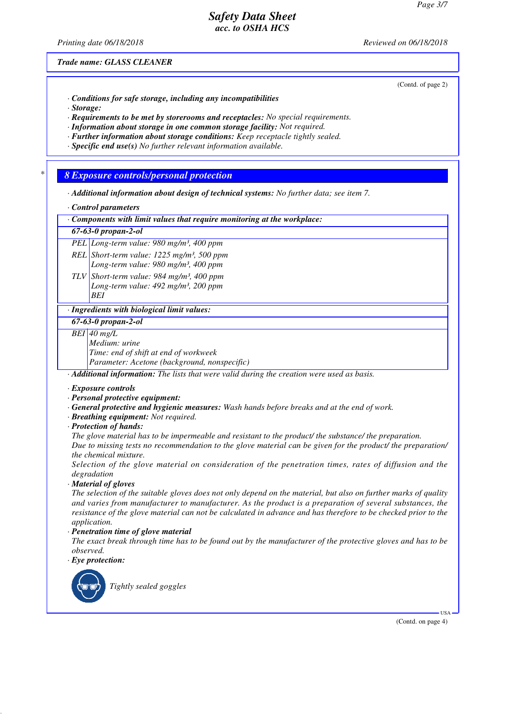*Printing date 06/18/2018 Reviewed on 06/18/2018*

(Contd. of page 2)

*Trade name: GLASS CLEANER*

*· Conditions for safe storage, including any incompatibilities*

*· Storage:*

*· Requirements to be met by storerooms and receptacles: No special requirements.*

*· Information about storage in one common storage facility: Not required.*

*· Further information about storage conditions: Keep receptacle tightly sealed.*

*· Specific end use(s) No further relevant information available.*

*\* 8 Exposure controls/personal protection*

*· Additional information about design of technical systems: No further data; see item 7.*

*· Control parameters*

*· Components with limit values that require monitoring at the workplace:*

*67-63-0 propan-2-ol*

*PEL Long-term value: 980 mg/m³, 400 ppm*

*REL Short-term value: 1225 mg/m³, 500 ppm Long-term value: 980 mg/m³, 400 ppm*

*TLV Short-term value: 984 mg/m³, 400 ppm Long-term value: 492 mg/m³, 200 ppm BEI*

*· Ingredients with biological limit values:*

*67-63-0 propan-2-ol*

*BEI 40 mg/L*

*Medium: urine Time: end of shift at end of workweek Parameter: Acetone (background, nonspecific)*

*· Additional information: The lists that were valid during the creation were used as basis.*

- *· Exposure controls*
- *· Personal protective equipment:*
- *· General protective and hygienic measures: Wash hands before breaks and at the end of work.*
- *· Breathing equipment: Not required.*
- *· Protection of hands:*

*The glove material has to be impermeable and resistant to the product/ the substance/ the preparation.*

*Due to missing tests no recommendation to the glove material can be given for the product/ the preparation/ the chemical mixture.*

*Selection of the glove material on consideration of the penetration times, rates of diffusion and the degradation*

*· Material of gloves*

*The selection of the suitable gloves does not only depend on the material, but also on further marks of quality and varies from manufacturer to manufacturer. As the product is a preparation of several substances, the resistance of the glove material can not be calculated in advance and has therefore to be checked prior to the application.*

*· Penetration time of glove material*

*The exact break through time has to be found out by the manufacturer of the protective gloves and has to be observed.*

*· Eye protection:*



*Tightly sealed goggles*

(Contd. on page 4)

USA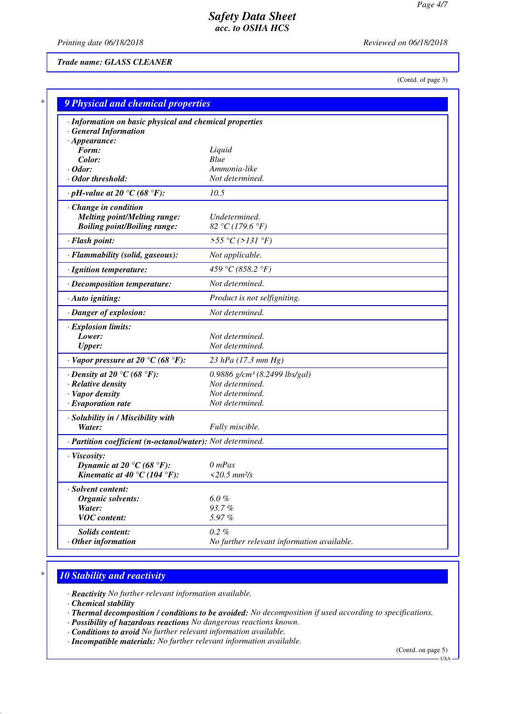*Printing date 06/18/2018 Reviewed on 06/18/2018*

*Trade name: GLASS CLEANER*

(Contd. of page 3)

| · Information on basic physical and chemical properties<br><b>General Information</b> |                                            |
|---------------------------------------------------------------------------------------|--------------------------------------------|
| $\cdot$ Appearance:                                                                   |                                            |
| Form:                                                                                 | Liquid                                     |
| Color:                                                                                | Blue                                       |
| · Odor:                                                                               | Ammonia-like                               |
| · Odor threshold:                                                                     | Not determined.                            |
| $\cdot$ pH-value at 20 °C (68 °F):                                                    | 10.5                                       |
| Change in condition                                                                   |                                            |
| <b>Melting point/Melting range:</b>                                                   | Undetermined.                              |
| <b>Boiling point/Boiling range:</b>                                                   | 82 °C (179.6 °F)                           |
| · Flash point:                                                                        | >55 °C (>131 °F)                           |
| · Flammability (solid, gaseous):                                                      | Not applicable.                            |
| · Ignition temperature:                                                               | 459 °C (858.2 °F)                          |
| · Decomposition temperature:                                                          | Not determined.                            |
| · Auto igniting:                                                                      | Product is not selfigniting.               |
| · Danger of explosion:                                                                | Not determined.                            |
| <b>Explosion limits:</b>                                                              |                                            |
| Lower:                                                                                | Not determined.                            |
| <b>Upper:</b>                                                                         | Not determined.                            |
| $\cdot$ Vapor pressure at 20 °C (68 °F):                                              | 23 hPa $(17.3 \text{ mm Hg})$              |
| $\cdot$ Density at 20 °C (68 °F):                                                     | 0.9886 g/cm <sup>3</sup> (8.2499 lbs/gal)  |
| · Relative density                                                                    | Not determined.                            |
| · Vapor density                                                                       | Not determined.                            |
| $\cdot$ Evaporation rate                                                              | Not determined.                            |
| · Solubility in / Miscibility with                                                    |                                            |
| Water:                                                                                | Fully miscible.                            |
| · Partition coefficient (n-octanol/water): Not determined.                            |                                            |
| · Viscosity:                                                                          |                                            |
| Dynamic at 20 °C (68 °F):                                                             | $0$ mPas                                   |
| Kinematic at 40 °C (104 °F):                                                          | $<20.5$ mm $\frac{2}{s}$                   |
| · Solvent content:                                                                    |                                            |
| <b>Organic solvents:</b>                                                              | $6.0 \%$                                   |
| Water:<br><b>VOC</b> content:                                                         | 93.7%<br>5.97%                             |
|                                                                                       |                                            |
| Solids content:                                                                       | $0.2 \%$                                   |
| $\cdot$ Other information                                                             | No further relevant information available. |

# *\* 10 Stability and reactivity*

*· Reactivity No further relevant information available.*

*· Chemical stability*

- *· Thermal decomposition / conditions to be avoided: No decomposition if used according to specifications.*
- *· Possibility of hazardous reactions No dangerous reactions known.*
- *· Conditions to avoid No further relevant information available.*
- *· Incompatible materials: No further relevant information available.*

(Contd. on page 5)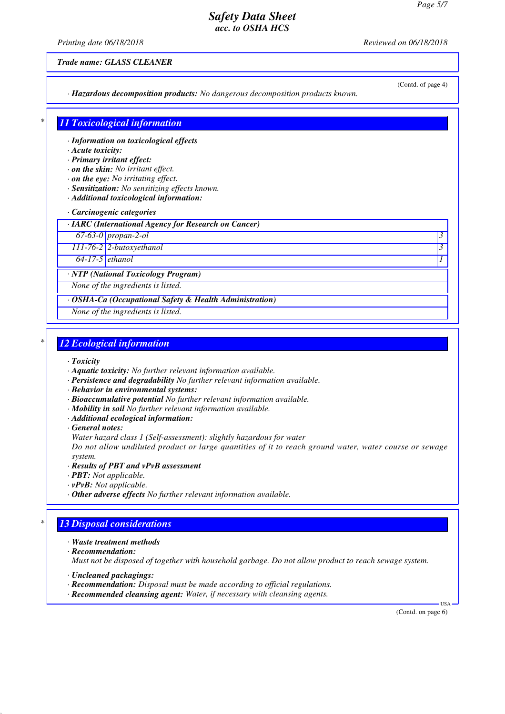*Printing date 06/18/2018 Reviewed on 06/18/2018*

*Trade name: GLASS CLEANER*

(Contd. of page 4)

*· Hazardous decomposition products: No dangerous decomposition products known.*

# *\* 11 Toxicological information*

*· Information on toxicological effects*

### *· Acute toxicity:*

*· Primary irritant effect:*

- *· on the skin: No irritant effect.*
- *· on the eye: No irritating effect.*
- *· Sensitization: No sensitizing effects known.*
- *· Additional toxicological information:*
- *· Carcinogenic categories*

*· IARC (International Agency for Research on Cancer)*

*67-63-0 propan-2-ol 3* 

*111-76-2 2-butoxyethanol 3* 

*64-17-5 ethanol 1* 

*· NTP (National Toxicology Program)*

*None of the ingredients is listed.*

*· OSHA-Ca (Occupational Safety & Health Administration)*

*None of the ingredients is listed.*

# *\* 12 Ecological information*

- *· Toxicity*
- *· Aquatic toxicity: No further relevant information available.*
- *· Persistence and degradability No further relevant information available.*
- *· Behavior in environmental systems:*
- *· Bioaccumulative potential No further relevant information available.*
- *· Mobility in soil No further relevant information available.*
- *· Additional ecological information:*
- *· General notes:*

*Water hazard class 1 (Self-assessment): slightly hazardous for water*

*Do not allow undiluted product or large quantities of it to reach ground water, water course or sewage system.*

- *· Results of PBT and vPvB assessment*
- *· PBT: Not applicable.*
- *· vPvB: Not applicable.*
- *· Other adverse effects No further relevant information available.*

## *\* 13 Disposal considerations*

- *· Waste treatment methods*
- *· Recommendation:*

*Must not be disposed of together with household garbage. Do not allow product to reach sewage system.*

- *· Uncleaned packagings:*
- *· Recommendation: Disposal must be made according to official regulations.*
- *· Recommended cleansing agent: Water, if necessary with cleansing agents.*

(Contd. on page 6)

USA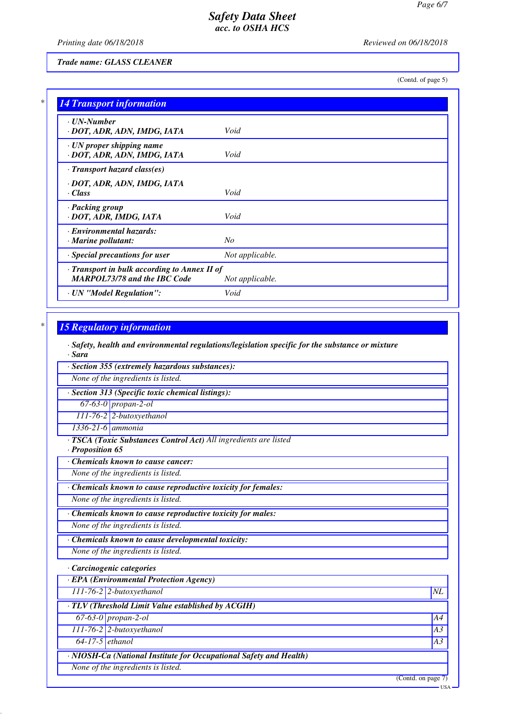*Printing date 06/18/2018 Reviewed on 06/18/2018*

*Trade name: GLASS CLEANER*

(Contd. of page 5)

| $\cdot$ UN-Number<br>· DOT, ADR, ADN, IMDG, IATA         | Void            |
|----------------------------------------------------------|-----------------|
|                                                          |                 |
| · UN proper shipping name<br>· DOT, ADR, ADN, IMDG, IATA | Void            |
| $\cdot$ Transport hazard class(es)                       |                 |
| · DOT, ADR, ADN, IMDG, IATA                              |                 |
| · Class                                                  | Void            |
| · Packing group                                          |                 |
| · DOT, ADR, IMDG, IATA                                   | Void            |
| · Environmental hazards:                                 |                 |
| $\cdot$ Marine pollutant:                                | No              |
| · Special precautions for user                           | Not applicable. |
| · Transport in bulk according to Annex II of             |                 |
| <b>MARPOL73/78 and the IBC Code</b>                      | Not applicable. |
| · UN "Model Regulation":                                 | Void            |

## *\* 15 Regulatory information*

*· Safety, health and environmental regulations/legislation specific for the substance or mixture · Sara*

*· Section 355 (extremely hazardous substances):*

*None of the ingredients is listed.*

*· Section 313 (Specific toxic chemical listings):*

*67-63-0 propan-2-ol*

*111-76-2 2-butoxyethanol*

*1336-21-6 ammonia*

*· TSCA (Toxic Substances Control Act) All ingredients are listed*

*· Proposition 65*

*· Chemicals known to cause cancer:*

*None of the ingredients is listed.*

*· Chemicals known to cause reproductive toxicity for females:*

*None of the ingredients is listed.*

*· Chemicals known to cause reproductive toxicity for males:*

*None of the ingredients is listed.*

*· Chemicals known to cause developmental toxicity:*

*None of the ingredients is listed.*

### *· Carcinogenic categories*

*· EPA (Environmental Protection Agency)*

*111-76-2 2-butoxyethanol NL*

*· TLV (Threshold Limit Value established by ACGIH)*

*67-63-0 propan-2-ol A4*

*111-76-2 2-butoxyethanol A3*

*64-17-5 ethanol A3*

*· NIOSH-Ca (National Institute for Occupational Safety and Health)*

*None of the ingredients is listed.*